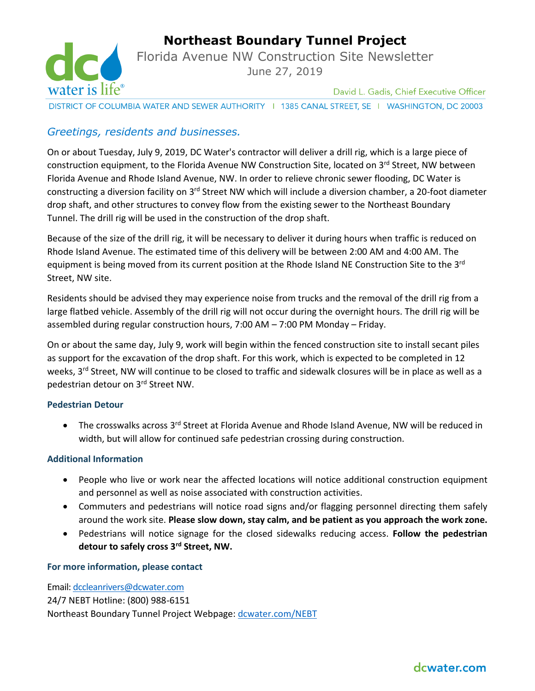

**Northeast Boundary Tunnel Project**

Florida Avenue NW Construction Site Newsletter June 27, 2019

David L. Gadis, Chief Executive Officer

DISTRICT OF COLUMBIA WATER AND SEWER AUTHORITY | 1385 CANAL STREET, SE | WASHINGTON, DC 20003

## *Greetings, residents and businesses.*

On or about Tuesday, July 9, 2019, DC Water's contractor will deliver a drill rig, which is a large piece of construction equipment, to the Florida Avenue NW Construction Site, located on 3<sup>rd</sup> Street, NW between Florida Avenue and Rhode Island Avenue, NW. In order to relieve chronic sewer flooding, DC Water is constructing a diversion facility on 3rd Street NW which will include a diversion chamber, a 20-foot diameter drop shaft, and other structures to convey flow from the existing sewer to the Northeast Boundary Tunnel. The drill rig will be used in the construction of the drop shaft.

Because of the size of the drill rig, it will be necessary to deliver it during hours when traffic is reduced on Rhode Island Avenue. The estimated time of this delivery will be between 2:00 AM and 4:00 AM. The equipment is being moved from its current position at the Rhode Island NE Construction Site to the 3<sup>rd</sup> Street, NW site.

Residents should be advised they may experience noise from trucks and the removal of the drill rig from a large flatbed vehicle. Assembly of the drill rig will not occur during the overnight hours. The drill rig will be assembled during regular construction hours, 7:00 AM – 7:00 PM Monday – Friday.

On or about the same day, July 9, work will begin within the fenced construction site to install secant piles as support for the excavation of the drop shaft. For this work, which is expected to be completed in 12 weeks, 3<sup>rd</sup> Street, NW will continue to be closed to traffic and sidewalk closures will be in place as well as a pedestrian detour on 3rd Street NW.

### **Pedestrian Detour**

• The crosswalks across 3<sup>rd</sup> Street at Florida Avenue and Rhode Island Avenue, NW will be reduced in width, but will allow for continued safe pedestrian crossing during construction.

### **Additional Information**

- People who live or work near the affected locations will notice additional construction equipment and personnel as well as noise associated with construction activities.
- Commuters and pedestrians will notice road signs and/or flagging personnel directing them safely around the work site. **Please slow down, stay calm, and be patient as you approach the work zone.**
- Pedestrians will notice signage for the closed sidewalks reducing access. **Follow the pedestrian detour to safely cross 3rd Street, NW.**

### **For more information, please contact**

Email[: dccleanrivers@dcwater.com](mailto:dccleanrivers@dcwater.com) 24/7 NEBT Hotline: (800) 988-6151 Northeast Boundary Tunnel Project Webpage: [dcwater.com/NEBT](https://www.dcwater.com/nebp)